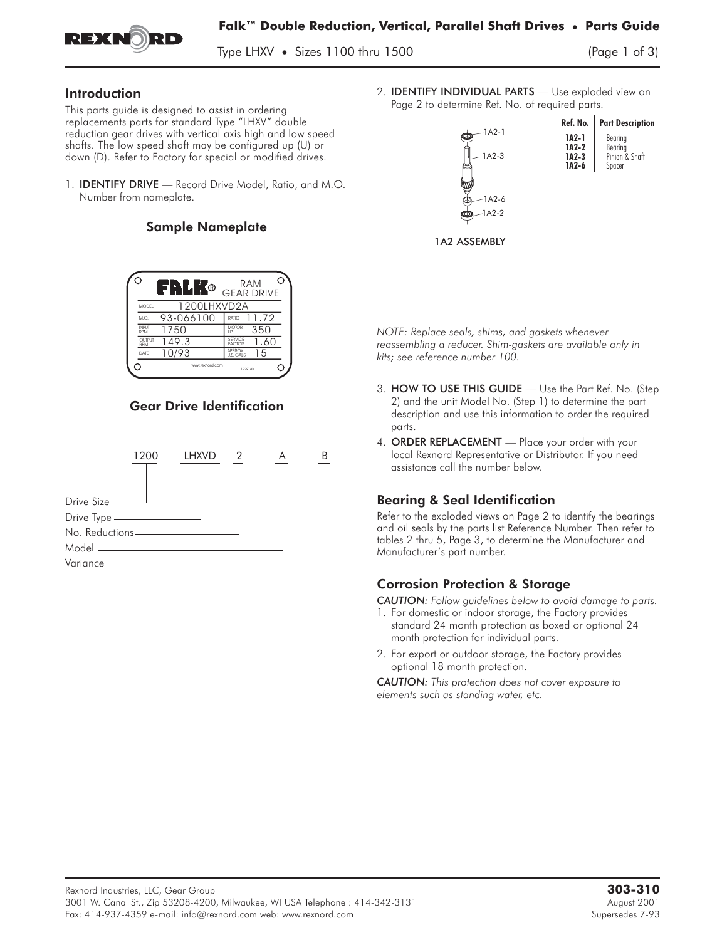

 $T_{\text{y}}$   $\sim$   $T_{\text{y}}$   $\sim$   $T_{\text{y}}$   $\sim$   $T_{\text{y}}$   $\sim$   $T_{\text{y}}$   $\sim$   $T_{\text{y}}$ 

### Introduction

This parts guide is designed to assist in ordering replacements parts for standard Type "LHXV" double reduction gear drives with vertical axis high and low speed shafts. The low speed shaft may be configured up (U) or down (D). Refer to Factory for special or modified drives. reduction gear drives with vertical axis high and low speed<br>shafts. The low speed shaft may be configured up (U) or<br>down (D). Refer to Factory for special or modified drives.<br>1. **IDENTIFY DRIVE** — Record Drive Model, Ratio

Number from nameplate.

## Sample Nameplate

|                      | FRLK®           | RAM<br><b>GEAR DRIVE</b>         |
|----------------------|-----------------|----------------------------------|
| MODEL                | 1200LHXVD2A     |                                  |
| M.O.                 | 93-066100       | 11.72<br>RATIO                   |
| <b>INPUT</b><br>RPM  | 1750            | <b>MOTOR</b><br>350<br>HP        |
| <b>OUTPUT</b><br>RPM | 149.3           | SERVICE<br>1.60<br><b>FACTOR</b> |
| DATE                 | 10/93           | <b>APPROX</b><br>15<br>U.S. GALS |
|                      | www.rexnord.com | 1229140                          |

## Gear Drive Identification



2. IDENTIFY INDIVIDUAL PARTS **—** Use exploded view on Page 2 to determine Ref. No. of required parts.



*NOTE: Replace seals, shims, and gaskets whenever reassembling a reducer. Shim-gaskets are available only in kits; see reference number 100.*

- 3. HOW TO USE THIS GUIDE **—** Use the Part Ref. No. (Step 2) and the unit Model No. (Step 1) to determine the part description and use this information to order the required parts.
- 4. ORDER REPLACEMENT **—** Place your order with your local Rexnord Representative or Distributor. If you need assistance call the number below.

# Bearing & Seal Identification

Refer to the exploded views on Page 2 to identify the bearings and oil seals by the parts list Reference Number. Then refer to tables 2 thru 5, Page 3, to determine the Manufacturer and Manufacturer's part number.

# Corrosion Protection & Storage

*CAUTION: Follow guidelines below to avoid damage to parts.*

- 1. For domestic or indoor storage, the Factory provides standard 24 month protection as boxed or optional 24 month protection for individual parts.
- 2. For export or outdoor storage, the Factory provides optional 18 month protection.

*CAUTION: This protection does not cover exposure to elements such as standing water, etc.*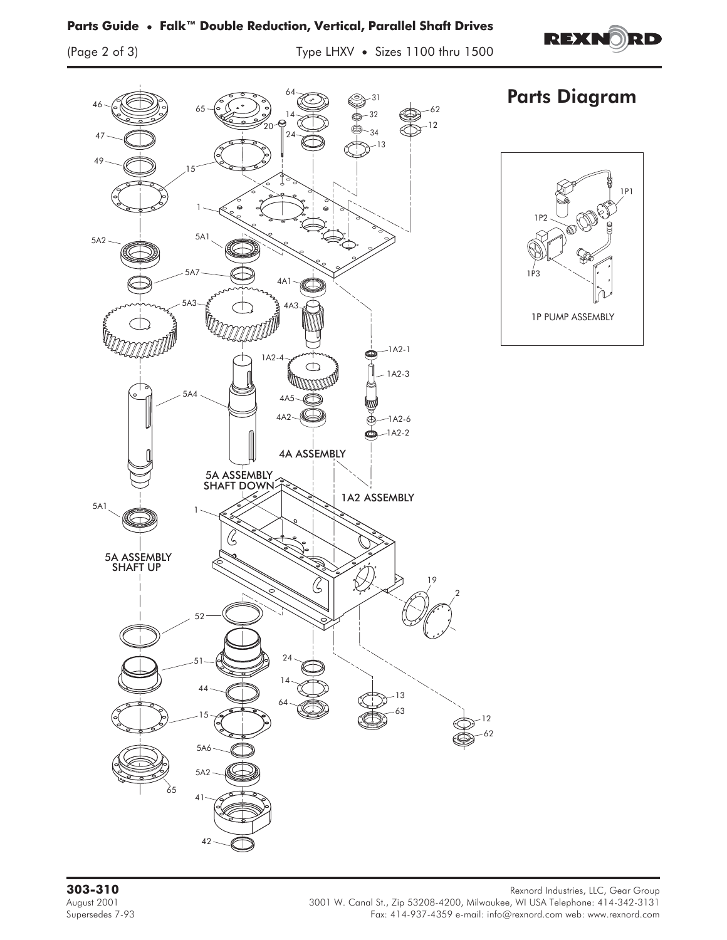## **Parts Guide • Falk™ Double Reduction, Vertical, Parallel Shaft Drives**

**REXNORD** 



**303-310** Rexnord Industries, LLC, Gear Group<br>3001 W. Canal St., Zip 53208-4200, Milwaukee, WI USA Telephone: 414-342-3131 August 2001 3001 W. Canal St., Zip 53208-4200, Milwaukee, WI USA Telephone: 414-342-3131 Fax: 414-937-4359 e-mail: info@rexnord.com web: www.rexnord.com